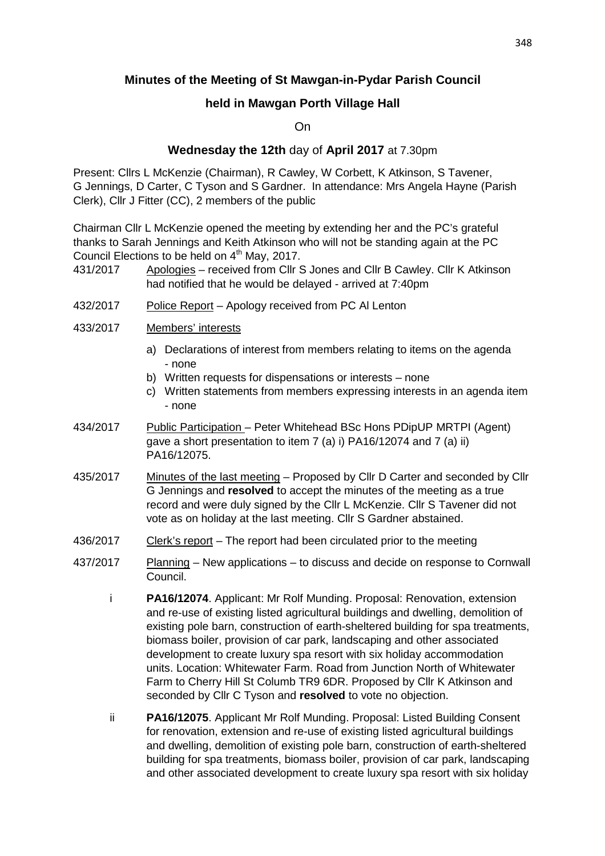## **Minutes of the Meeting of St Mawgan-in-Pydar Parish Council**

## **held in Mawgan Porth Village Hall**

On

## **Wednesday the 12th** day of **April 2017** at 7.30pm

Present: Cllrs L McKenzie (Chairman), R Cawley, W Corbett, K Atkinson, S Tavener, G Jennings, D Carter, C Tyson and S Gardner. In attendance: Mrs Angela Hayne (Parish Clerk), Cllr J Fitter (CC), 2 members of the public

Chairman Cllr L McKenzie opened the meeting by extending her and the PC's grateful thanks to Sarah Jennings and Keith Atkinson who will not be standing again at the PC Council Elections to be held on  $4<sup>th</sup>$  May, 2017.

- 431/2017 Apologies received from Cllr S Jones and Cllr B Cawley. Cllr K Atkinson had notified that he would be delayed - arrived at 7:40pm
- 432/2017 Police Report Apology received from PC Al Lenton
- 433/2017 Members' interests
	- a) Declarations of interest from members relating to items on the agenda - none
	- b) Written requests for dispensations or interests none
	- c) Written statements from members expressing interests in an agenda item - none
- 434/2017 Public Participation Peter Whitehead BSc Hons PDipUP MRTPI (Agent) gave a short presentation to item 7 (a) i) PA16/12074 and 7 (a) ii) PA16/12075.
- 435/2017 Minutes of the last meeting Proposed by Cllr D Carter and seconded by Cllr G Jennings and **resolved** to accept the minutes of the meeting as a true record and were duly signed by the Cllr L McKenzie. Cllr S Tavener did not vote as on holiday at the last meeting. Cllr S Gardner abstained.
- 436/2017 Clerk's report The report had been circulated prior to the meeting
- 437/2017 Planning New applications to discuss and decide on response to Cornwall Council.
	- i **PA16/12074**. Applicant: Mr Rolf Munding. Proposal: Renovation, extension and re-use of existing listed agricultural buildings and dwelling, demolition of existing pole barn, construction of earth-sheltered building for spa treatments, biomass boiler, provision of car park, landscaping and other associated development to create luxury spa resort with six holiday accommodation units. Location: Whitewater Farm. Road from Junction North of Whitewater Farm to Cherry Hill St Columb TR9 6DR. Proposed by Cllr K Atkinson and seconded by Cllr C Tyson and **resolved** to vote no objection.
	- ii **PA16/12075**. Applicant Mr Rolf Munding. Proposal: Listed Building Consent for renovation, extension and re-use of existing listed agricultural buildings and dwelling, demolition of existing pole barn, construction of earth-sheltered building for spa treatments, biomass boiler, provision of car park, landscaping and other associated development to create luxury spa resort with six holiday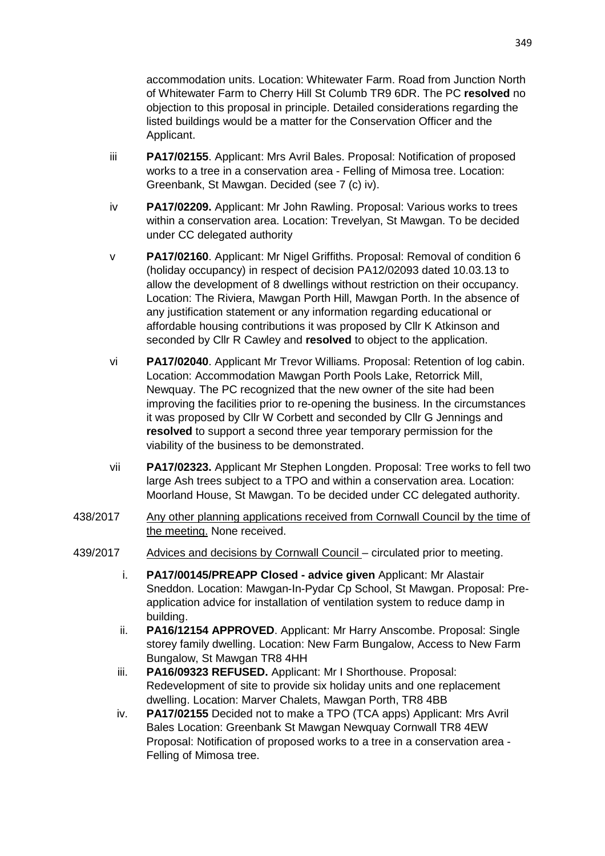accommodation units. Location: Whitewater Farm. Road from Junction North of Whitewater Farm to Cherry Hill St Columb TR9 6DR. The PC **resolved** no objection to this proposal in principle. Detailed considerations regarding the listed buildings would be a matter for the Conservation Officer and the Applicant.

- iii **PA17/02155**. Applicant: Mrs Avril Bales. Proposal: Notification of proposed works to a tree in a conservation area - Felling of Mimosa tree. Location: Greenbank, St Mawgan. Decided (see 7 (c) iv).
- iv **PA17/02209.** Applicant: Mr John Rawling. Proposal: Various works to trees within a conservation area. Location: Trevelyan, St Mawgan. To be decided under CC delegated authority
- v **PA17/02160**. Applicant: Mr Nigel Griffiths. Proposal: Removal of condition 6 (holiday occupancy) in respect of decision PA12/02093 dated 10.03.13 to allow the development of 8 dwellings without restriction on their occupancy. Location: The Riviera, Mawgan Porth Hill, Mawgan Porth. In the absence of any justification statement or any information regarding educational or affordable housing contributions it was proposed by Cllr K Atkinson and seconded by Cllr R Cawley and **resolved** to object to the application.
- vi **PA17/02040**. Applicant Mr Trevor Williams. Proposal: Retention of log cabin. Location: Accommodation Mawgan Porth Pools Lake, Retorrick Mill, Newquay. The PC recognized that the new owner of the site had been improving the facilities prior to re-opening the business. In the circumstances it was proposed by Cllr W Corbett and seconded by Cllr G Jennings and **resolved** to support a second three year temporary permission for the viability of the business to be demonstrated.
- vii **PA17/02323.** Applicant Mr Stephen Longden. Proposal: Tree works to fell two large Ash trees subject to a TPO and within a conservation area. Location: Moorland House, St Mawgan. To be decided under CC delegated authority.
- 438/2017 Any other planning applications received from Cornwall Council by the time of the meeting. None received.
- 439/2017 Advices and decisions by Cornwall Council circulated prior to meeting.
	- i. **PA17/00145/PREAPP Closed advice given** Applicant: Mr Alastair Sneddon. Location: Mawgan-In-Pydar Cp School, St Mawgan. Proposal: Preapplication advice for installation of ventilation system to reduce damp in building.
	- ii. **PA16/12154 APPROVED**. Applicant: Mr Harry Anscombe. Proposal: Single storey family dwelling. Location: New Farm Bungalow, Access to New Farm Bungalow, St Mawgan TR8 4HH
	- iii. **PA16/09323 REFUSED.** Applicant: Mr I Shorthouse. Proposal: Redevelopment of site to provide six holiday units and one replacement dwelling. Location: Marver Chalets, Mawgan Porth, TR8 4BB
	- iv. **PA17/02155** Decided not to make a TPO (TCA apps) Applicant: Mrs Avril Bales Location: Greenbank St Mawgan Newquay Cornwall TR8 4EW Proposal: Notification of proposed works to a tree in a conservation area - Felling of Mimosa tree.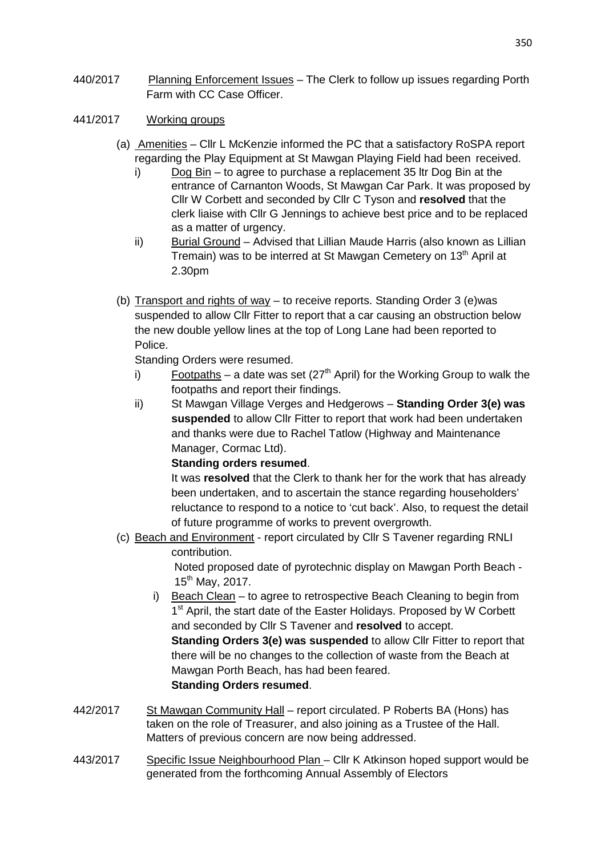- 440/2017 Planning Enforcement Issues The Clerk to follow up issues regarding Porth Farm with CC Case Officer.
- 441/2017 Working groups
	- (a) Amenities Cllr L McKenzie informed the PC that a satisfactory RoSPA report regarding the Play Equipment at St Mawgan Playing Field had been received.
		- i) Dog Bin to agree to purchase a replacement 35 ltr Dog Bin at the entrance of Carnanton Woods, St Mawgan Car Park. It was proposed by Cllr W Corbett and seconded by Cllr C Tyson and **resolved** that the clerk liaise with Cllr G Jennings to achieve best price and to be replaced as a matter of urgency.
		- ii) Burial Ground Advised that Lillian Maude Harris (also known as Lillian Tremain) was to be interred at St Mawgan Cemetery on  $13<sup>th</sup>$  April at 2.30pm
	- (b) Transport and rights of way to receive reports. Standing Order 3 (e)was suspended to allow Cllr Fitter to report that a car causing an obstruction below the new double yellow lines at the top of Long Lane had been reported to Police.

Standing Orders were resumed.

- i) Footpaths a date was set ( $27<sup>th</sup>$  April) for the Working Group to walk the footpaths and report their findings.
- ii) St Mawgan Village Verges and Hedgerows **Standing Order 3(e) was suspended** to allow Cllr Fitter to report that work had been undertaken and thanks were due to Rachel Tatlow (Highway and Maintenance Manager, Cormac Ltd).

**Standing orders resumed**.

It was **resolved** that the Clerk to thank her for the work that has already been undertaken, and to ascertain the stance regarding householders' reluctance to respond to a notice to 'cut back'. Also, to request the detail of future programme of works to prevent overgrowth.

(c) Beach and Environment - report circulated by Cllr S Tavener regarding RNLI contribution.

 Noted proposed date of pyrotechnic display on Mawgan Porth Beach -  $15^{th}$  May, 2017.

- i) Beach Clean to agree to retrospective Beach Cleaning to begin from 1<sup>st</sup> April, the start date of the Easter Holidays. Proposed by W Corbett and seconded by Cllr S Tavener and **resolved** to accept. **Standing Orders 3(e) was suspended** to allow Cllr Fitter to report that there will be no changes to the collection of waste from the Beach at Mawgan Porth Beach, has had been feared. **Standing Orders resumed**.
- 442/2017 St Mawgan Community Hall report circulated. P Roberts BA (Hons) has taken on the role of Treasurer, and also joining as a Trustee of the Hall. Matters of previous concern are now being addressed.
- 443/2017 Specific Issue Neighbourhood Plan Cllr K Atkinson hoped support would be generated from the forthcoming Annual Assembly of Electors